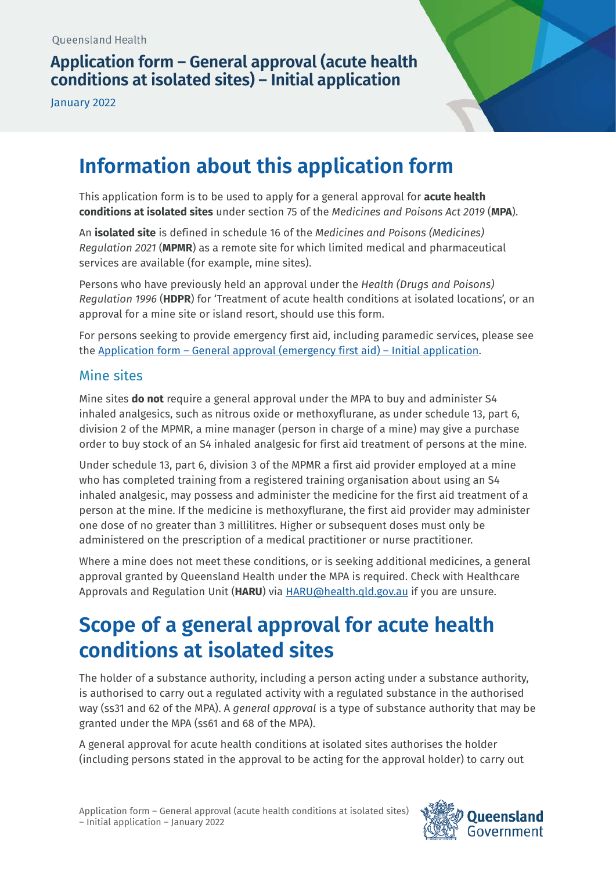## **Application form – General approval (acute health conditions at isolated sites) – Initial application**

January 2022



# **Information about this application form**

This application form is to be used to apply for a general approval for **acute health conditions at isolated sites** under section 75 of the *Medicines and Poisons Act 2019* (**MPA**).

An **isolated site** is defined in schedule 16 of the *Medicines and Poisons (Medicines) Regulation 2021* (**MPMR**) as a remote site for which limited medical and pharmaceutical services are available (for example, mine sites).

Persons who have previously held an approval under the *Health (Drugs and Poisons) Regulation 1996* (**HDPR**) for 'Treatment of acute health conditions at isolated locations', or an approval for a mine site or island resort, should use this form.

For persons seeking to provide emergency first aid, including paramedic services, please see the [Application form – General approval \(emergency first aid\) – Initial application.](https://www.health.qld.gov.au/__data/assets/pdf_file/0012/1111323/form-general-first-aid-initial.pdf)

#### Mine sites

Mine sites **do not** require a general approval under the MPA to buy and administer S4 inhaled analgesics, such as nitrous oxide or methoxyflurane, as under schedule 13, part 6, division 2 of the MPMR, a mine manager (person in charge of a mine) may give a purchase order to buy stock of an S4 inhaled analgesic for first aid treatment of persons at the mine.

Under schedule 13, part 6, division 3 of the MPMR a first aid provider employed at a mine who has completed training from a registered training organisation about using an S4 inhaled analgesic, may possess and administer the medicine for the first aid treatment of a person at the mine. If the medicine is methoxyflurane, the first aid provider may administer one dose of no greater than 3 millilitres. Higher or subsequent doses must only be administered on the prescription of a medical practitioner or nurse practitioner.

Where a mine does not meet these conditions, or is seeking additional medicines, a general approval granted by Queensland Health under the MPA is required. Check with Healthcare Approvals and Regulation Unit (**HARU**) via [HARU@health.qld.gov.au](mailto:HARU@health.qld.gov.au) if you are unsure.

# **Scope of a general approval for acute health conditions at isolated sites**

The holder of a substance authority, including a person acting under a substance authority, is authorised to carry out a regulated activity with a regulated substance in the authorised way (ss31 and 62 of the MPA). A *general approval* is a type of substance authority that may be granted under the MPA (ss61 and 68 of the MPA).

A general approval for acute health conditions at isolated sites authorises the holder (including persons stated in the approval to be acting for the approval holder) to carry out

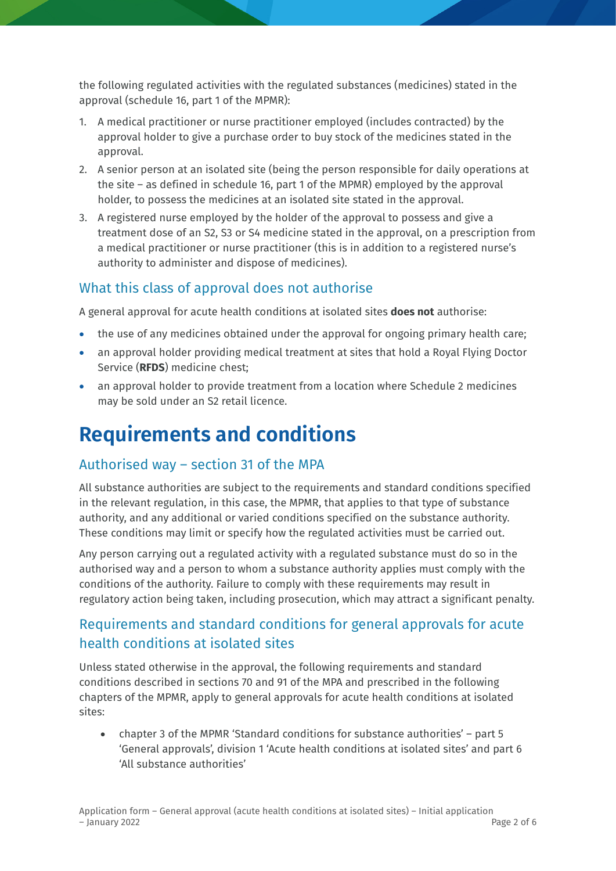the following regulated activities with the regulated substances (medicines) stated in the approval (schedule 16, part 1 of the MPMR):

- 1. A medical practitioner or nurse practitioner employed (includes contracted) by the approval holder to give a purchase order to buy stock of the medicines stated in the approval.
- 2. A senior person at an isolated site (being the person responsible for daily operations at the site – as defined in schedule 16, part 1 of the MPMR) employed by the approval holder, to possess the medicines at an isolated site stated in the approval.
- 3. A registered nurse employed by the holder of the approval to possess and give a treatment dose of an S2, S3 or S4 medicine stated in the approval, on a prescription from a medical practitioner or nurse practitioner (this is in addition to a registered nurse's authority to administer and dispose of medicines).

### What this class of approval does not authorise

A general approval for acute health conditions at isolated sites **does not** authorise:

- the use of any medicines obtained under the approval for ongoing primary health care;
- an approval holder providing medical treatment at sites that hold a Royal Flying Doctor Service (**RFDS**) medicine chest;
- an approval holder to provide treatment from a location where Schedule 2 medicines may be sold under an S2 retail licence.

# **Requirements and conditions**

## Authorised way – section 31 of the MPA

All substance authorities are subject to the requirements and standard conditions specified in the relevant regulation, in this case, the MPMR, that applies to that type of substance authority, and any additional or varied conditions specified on the substance authority. These conditions may limit or specify how the regulated activities must be carried out.

Any person carrying out a regulated activity with a regulated substance must do so in the authorised way and a person to whom a substance authority applies must comply with the conditions of the authority. Failure to comply with these requirements may result in regulatory action being taken, including prosecution, which may attract a significant penalty.

## Requirements and standard conditions for general approvals for acute health conditions at isolated sites

Unless stated otherwise in the approval, the following requirements and standard conditions described in sections 70 and 91 of the MPA and prescribed in the following chapters of the MPMR, apply to general approvals for acute health conditions at isolated sites:

• chapter 3 of the MPMR 'Standard conditions for substance authorities' – part 5 'General approvals', division 1 'Acute health conditions at isolated sites' and part 6 'All substance authorities'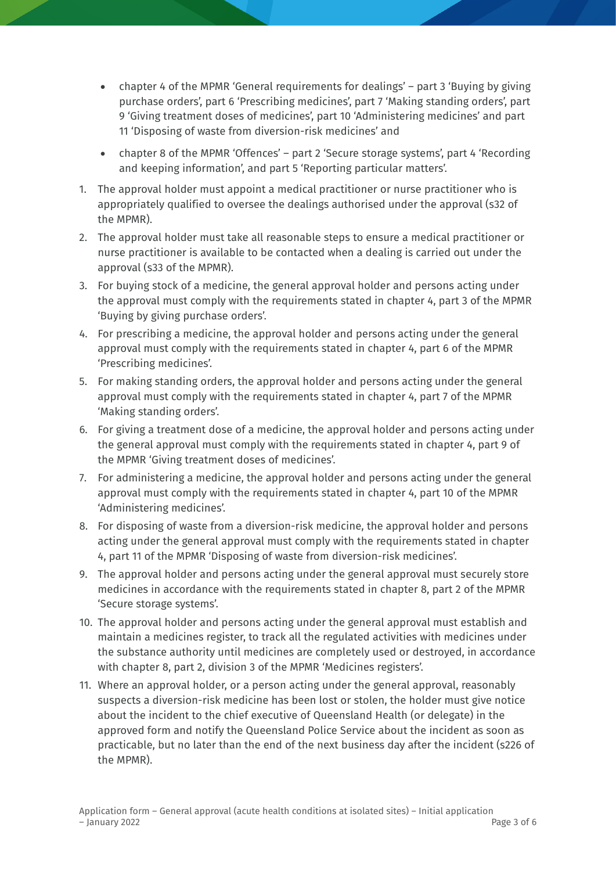- chapter 4 of the MPMR 'General requirements for dealings' part 3 'Buying by giving purchase orders', part 6 'Prescribing medicines', part 7 'Making standing orders', part 9 'Giving treatment doses of medicines', part 10 'Administering medicines' and part 11 'Disposing of waste from diversion-risk medicines' and
- chapter 8 of the MPMR 'Offences' part 2 'Secure storage systems', part 4 'Recording and keeping information', and part 5 'Reporting particular matters'.
- 1. The approval holder must appoint a medical practitioner or nurse practitioner who is appropriately qualified to oversee the dealings authorised under the approval (s32 of the MPMR).
- 2. The approval holder must take all reasonable steps to ensure a medical practitioner or nurse practitioner is available to be contacted when a dealing is carried out under the approval (s33 of the MPMR).
- 3. For buying stock of a medicine, the general approval holder and persons acting under the approval must comply with the requirements stated in chapter 4, part 3 of the MPMR 'Buying by giving purchase orders'.
- 4. For prescribing a medicine, the approval holder and persons acting under the general approval must comply with the requirements stated in chapter 4, part 6 of the MPMR 'Prescribing medicines'.
- 5. For making standing orders, the approval holder and persons acting under the general approval must comply with the requirements stated in chapter 4, part 7 of the MPMR 'Making standing orders'.
- 6. For giving a treatment dose of a medicine, the approval holder and persons acting under the general approval must comply with the requirements stated in chapter 4, part 9 of the MPMR 'Giving treatment doses of medicines'.
- 7. For administering a medicine, the approval holder and persons acting under the general approval must comply with the requirements stated in chapter 4, part 10 of the MPMR 'Administering medicines'.
- 8. For disposing of waste from a diversion-risk medicine, the approval holder and persons acting under the general approval must comply with the requirements stated in chapter 4, part 11 of the MPMR 'Disposing of waste from diversion-risk medicines'.
- 9. The approval holder and persons acting under the general approval must securely store medicines in accordance with the requirements stated in chapter 8, part 2 of the MPMR 'Secure storage systems'.
- 10. The approval holder and persons acting under the general approval must establish and maintain a medicines register, to track all the regulated activities with medicines under the substance authority until medicines are completely used or destroyed, in accordance with chapter 8, part 2, division 3 of the MPMR 'Medicines registers'.
- 11. Where an approval holder, or a person acting under the general approval, reasonably suspects a diversion-risk medicine has been lost or stolen, the holder must give notice about the incident to the chief executive of Queensland Health (or delegate) in the approved form and notify the Queensland Police Service about the incident as soon as practicable, but no later than the end of the next business day after the incident (s226 of the MPMR).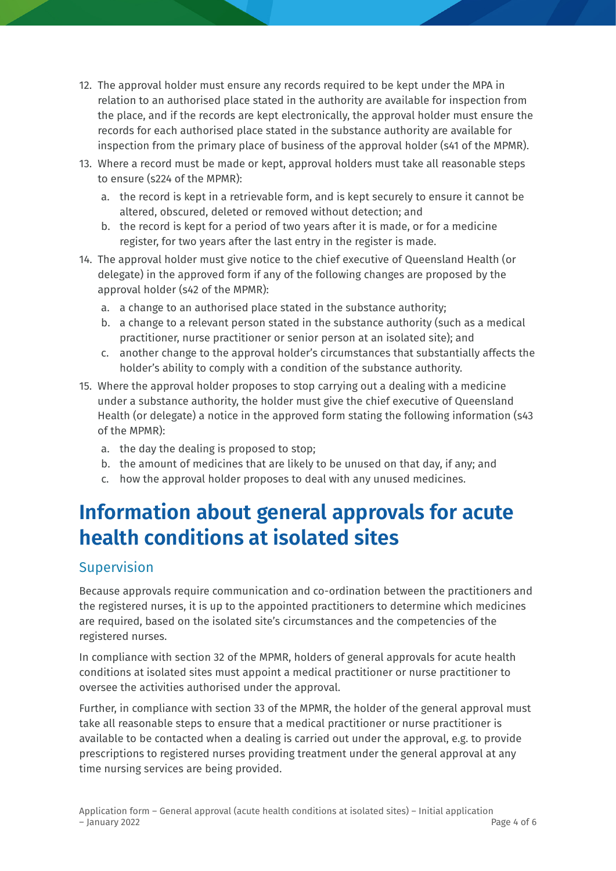- 12. The approval holder must ensure any records required to be kept under the MPA in relation to an authorised place stated in the authority are available for inspection from the place, and if the records are kept electronically, the approval holder must ensure the records for each authorised place stated in the substance authority are available for inspection from the primary place of business of the approval holder (s41 of the MPMR).
- 13. Where a record must be made or kept, approval holders must take all reasonable steps to ensure (s224 of the MPMR):
	- a. the record is kept in a retrievable form, and is kept securely to ensure it cannot be altered, obscured, deleted or removed without detection; and
	- b. the record is kept for a period of two years after it is made, or for a medicine register, for two years after the last entry in the register is made.
- 14. The approval holder must give notice to the chief executive of Queensland Health (or delegate) in the approved form if any of the following changes are proposed by the approval holder (s42 of the MPMR):
	- a. a change to an authorised place stated in the substance authority;
	- b. a change to a relevant person stated in the substance authority (such as a medical practitioner, nurse practitioner or senior person at an isolated site); and
	- c. another change to the approval holder's circumstances that substantially affects the holder's ability to comply with a condition of the substance authority.
- 15. Where the approval holder proposes to stop carrying out a dealing with a medicine under a substance authority, the holder must give the chief executive of Queensland Health (or delegate) a notice in the approved form stating the following information (s43 of the MPMR):
	- a. the day the dealing is proposed to stop;
	- b. the amount of medicines that are likely to be unused on that day, if any; and
	- c. how the approval holder proposes to deal with any unused medicines.

# **Information about general approvals for acute health conditions at isolated sites**

### Supervision

Because approvals require communication and co-ordination between the practitioners and the registered nurses, it is up to the appointed practitioners to determine which medicines are required, based on the isolated site's circumstances and the competencies of the registered nurses.

In compliance with section 32 of the MPMR, holders of general approvals for acute health conditions at isolated sites must appoint a medical practitioner or nurse practitioner to oversee the activities authorised under the approval.

Further, in compliance with section 33 of the MPMR, the holder of the general approval must take all reasonable steps to ensure that a medical practitioner or nurse practitioner is available to be contacted when a dealing is carried out under the approval, e.g. to provide prescriptions to registered nurses providing treatment under the general approval at any time nursing services are being provided.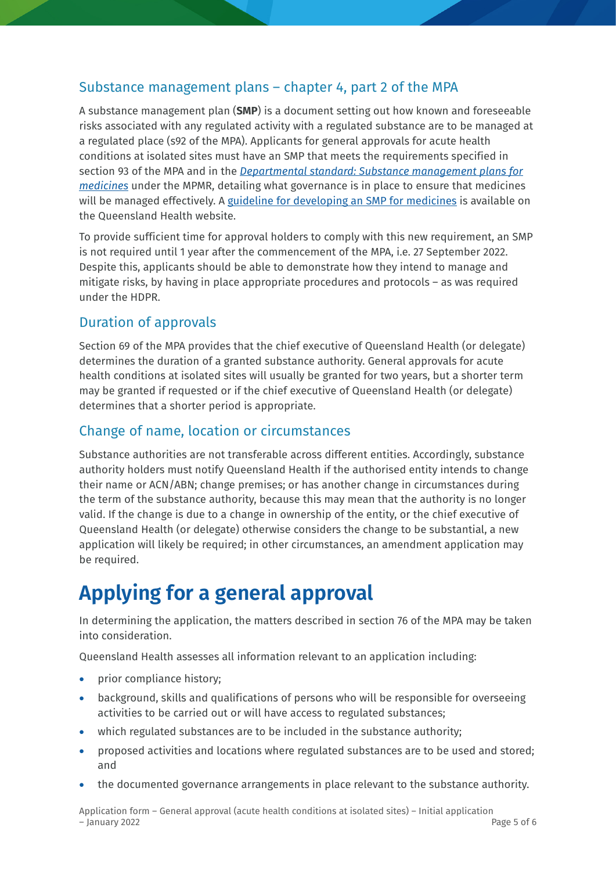#### Substance management plans – chapter 4, part 2 of the MPA

A substance management plan (**SMP**) is a document setting out how known and foreseeable risks associated with any regulated activity with a regulated substance are to be managed at a regulated place (s92 of the MPA). Applicants for general approvals for acute health conditions at isolated sites must have an SMP that meets the requirements specified in section 93 of the MPA and in the *[Departmental standard: Substance management plans for](https://www.health.qld.gov.au/__data/assets/pdf_file/0023/1108940/ds-substance-management-plans-medicines.pdf)  [medicines](https://www.health.qld.gov.au/__data/assets/pdf_file/0023/1108940/ds-substance-management-plans-medicines.pdf)* under the MPMR, detailing what governance is in place to ensure that medicines will be managed effectively. A [guideline for developing an SMP for medicines](https://www.health.qld.gov.au/__data/assets/pdf_file/0026/1110788/guide-smp-medicines.pdf) is available on the Queensland Health website.

To provide sufficient time for approval holders to comply with this new requirement, an SMP is not required until 1 year after the commencement of the MPA, i.e. 27 September 2022. Despite this, applicants should be able to demonstrate how they intend to manage and mitigate risks, by having in place appropriate procedures and protocols – as was required under the HDPR.

### Duration of approvals

Section 69 of the MPA provides that the chief executive of Queensland Health (or delegate) determines the duration of a granted substance authority. General approvals for acute health conditions at isolated sites will usually be granted for two years, but a shorter term may be granted if requested or if the chief executive of Queensland Health (or delegate) determines that a shorter period is appropriate.

### Change of name, location or circumstances

Substance authorities are not transferable across different entities. Accordingly, substance authority holders must notify Queensland Health if the authorised entity intends to change their name or ACN/ABN; change premises; or has another change in circumstances during the term of the substance authority, because this may mean that the authority is no longer valid. If the change is due to a change in ownership of the entity, or the chief executive of Queensland Health (or delegate) otherwise considers the change to be substantial, a new application will likely be required; in other circumstances, an amendment application may be required.

# **Applying for a general approval**

In determining the application, the matters described in section 76 of the MPA may be taken into consideration.

Queensland Health assesses all information relevant to an application including:

- prior compliance history;
- background, skills and qualifications of persons who will be responsible for overseeing activities to be carried out or will have access to regulated substances;
- which regulated substances are to be included in the substance authority;
- proposed activities and locations where regulated substances are to be used and stored; and
- the documented governance arrangements in place relevant to the substance authority.

Application form – General approval (acute health conditions at isolated sites) – Initial application  $-$  January 2022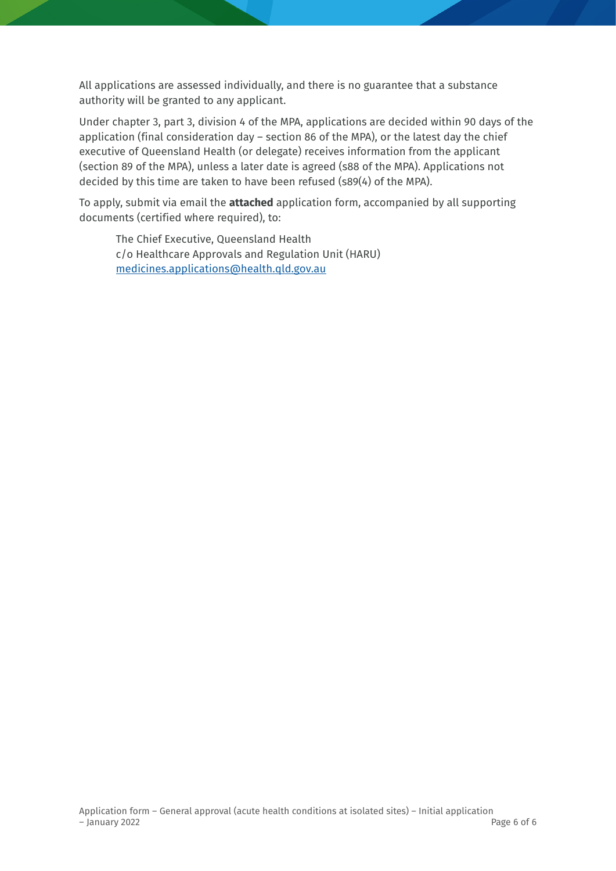All applications are assessed individually, and there is no guarantee that a substance authority will be granted to any applicant.

Under chapter 3, part 3, division 4 of the MPA, applications are decided within 90 days of the application (final consideration day – section 86 of the MPA), or the latest day the chief executive of Queensland Health (or delegate) receives information from the applicant (section 89 of the MPA), unless a later date is agreed (s88 of the MPA). Applications not decided by this time are taken to have been refused (s89(4) of the MPA).

To apply, submit via email the **attached** application form, accompanied by all supporting documents (certified where required), to:

The Chief Executive, Queensland Health c/o Healthcare Approvals and Regulation Unit (HARU) [medicines.applications@health.qld.gov.au](mailto:medicines.applications@health.qld.gov.au)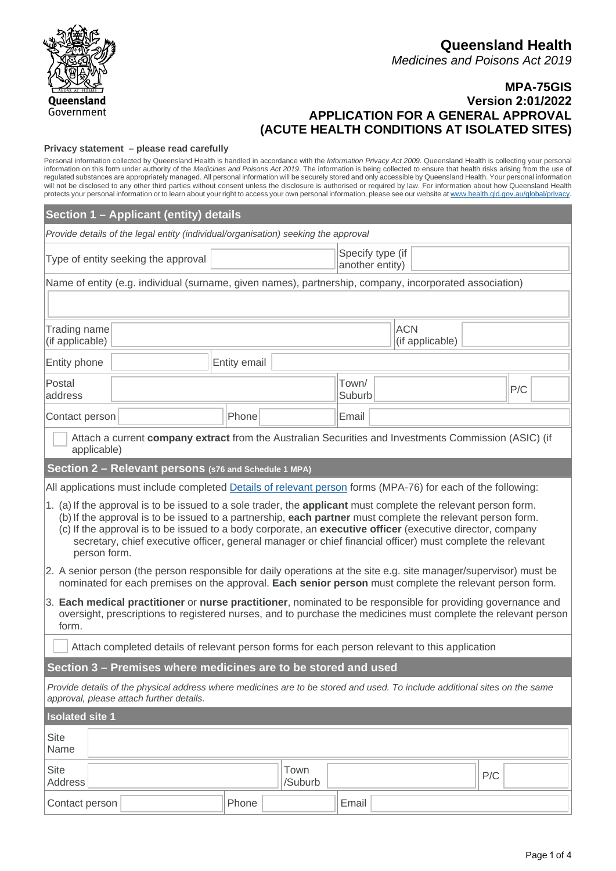**MPA-75GIS Version 2:01/2022 APPLICATION FOR A GENERAL APPROVAL (ACUTE HEALTH CONDITIONS AT ISOLATED SITES)**

#### **Privacy statement – please read carefully**

Personal information collected by Queensland Health is handled in accordance with the *Information Privacy Act 2009*. Queensland Health is collecting your personal information on this form under authority of the *Medicines and Poisons Act 2019*. The information is being collected to ensure that health risks arising from the use of regulated substances are appropriately managed. All personal information will be securely stored and only accessible by Queensland Health. Your personal information will not be disclosed to any other third parties without consent unless the disclosure is authorised or required by law. For information about how Queensland Health protects your personal information or to learn about your right to access your own personal information, please see our website at [www.health.qld.gov.au/global/privacy.](http://www.health.qld.gov.au/global/privacy)

| Section 1 - Applicant (entity) details                                                                                                                                                                                                                                                                                                                                                                                                                                   |                                     |                 |                 |  |     |  |  |
|--------------------------------------------------------------------------------------------------------------------------------------------------------------------------------------------------------------------------------------------------------------------------------------------------------------------------------------------------------------------------------------------------------------------------------------------------------------------------|-------------------------------------|-----------------|-----------------|--|-----|--|--|
| Provide details of the legal entity (individual/organisation) seeking the approval                                                                                                                                                                                                                                                                                                                                                                                       |                                     |                 |                 |  |     |  |  |
| Type of entity seeking the approval                                                                                                                                                                                                                                                                                                                                                                                                                                      | Specify type (if<br>another entity) |                 |                 |  |     |  |  |
| Name of entity (e.g. individual (surname, given names), partnership, company, incorporated association)                                                                                                                                                                                                                                                                                                                                                                  |                                     |                 |                 |  |     |  |  |
|                                                                                                                                                                                                                                                                                                                                                                                                                                                                          |                                     |                 |                 |  |     |  |  |
| <b>ACN</b><br>Trading name<br>(if applicable)<br>(if applicable)                                                                                                                                                                                                                                                                                                                                                                                                         |                                     |                 |                 |  |     |  |  |
| Entity phone                                                                                                                                                                                                                                                                                                                                                                                                                                                             | Entity email                        |                 |                 |  |     |  |  |
| Postal<br>address                                                                                                                                                                                                                                                                                                                                                                                                                                                        |                                     |                 | Town/<br>Suburb |  | P/C |  |  |
| Contact person                                                                                                                                                                                                                                                                                                                                                                                                                                                           | Phone<br>Email                      |                 |                 |  |     |  |  |
| Attach a current company extract from the Australian Securities and Investments Commission (ASIC) (if<br>applicable)                                                                                                                                                                                                                                                                                                                                                     |                                     |                 |                 |  |     |  |  |
| Section 2 - Relevant persons (s76 and Schedule 1 MPA)                                                                                                                                                                                                                                                                                                                                                                                                                    |                                     |                 |                 |  |     |  |  |
| All applications must include completed Details of relevant person forms (MPA-76) for each of the following:                                                                                                                                                                                                                                                                                                                                                             |                                     |                 |                 |  |     |  |  |
| 1. (a) If the approval is to be issued to a sole trader, the applicant must complete the relevant person form.<br>(b) If the approval is to be issued to a partnership, each partner must complete the relevant person form.<br>(c) If the approval is to be issued to a body corporate, an executive officer (executive director, company<br>secretary, chief executive officer, general manager or chief financial officer) must complete the relevant<br>person form. |                                     |                 |                 |  |     |  |  |
| 2. A senior person (the person responsible for daily operations at the site e.g. site manager/supervisor) must be<br>nominated for each premises on the approval. Each senior person must complete the relevant person form.                                                                                                                                                                                                                                             |                                     |                 |                 |  |     |  |  |
| 3. Each medical practitioner or nurse practitioner, nominated to be responsible for providing governance and<br>oversight, prescriptions to registered nurses, and to purchase the medicines must complete the relevant person<br>form.                                                                                                                                                                                                                                  |                                     |                 |                 |  |     |  |  |
| Attach completed details of relevant person forms for each person relevant to this application                                                                                                                                                                                                                                                                                                                                                                           |                                     |                 |                 |  |     |  |  |
| Section 3 - Premises where medicines are to be stored and used                                                                                                                                                                                                                                                                                                                                                                                                           |                                     |                 |                 |  |     |  |  |
| Provide details of the physical address where medicines are to be stored and used. To include additional sites on the same<br>approval, please attach further details.                                                                                                                                                                                                                                                                                                   |                                     |                 |                 |  |     |  |  |
| <b>Isolated site 1</b>                                                                                                                                                                                                                                                                                                                                                                                                                                                   |                                     |                 |                 |  |     |  |  |
| <b>Site</b><br>Name                                                                                                                                                                                                                                                                                                                                                                                                                                                      |                                     |                 |                 |  |     |  |  |
| <b>Site</b><br><b>Address</b>                                                                                                                                                                                                                                                                                                                                                                                                                                            |                                     | Town<br>/Suburb |                 |  | P/C |  |  |
| Contact person                                                                                                                                                                                                                                                                                                                                                                                                                                                           | Phone                               |                 | Email           |  |     |  |  |

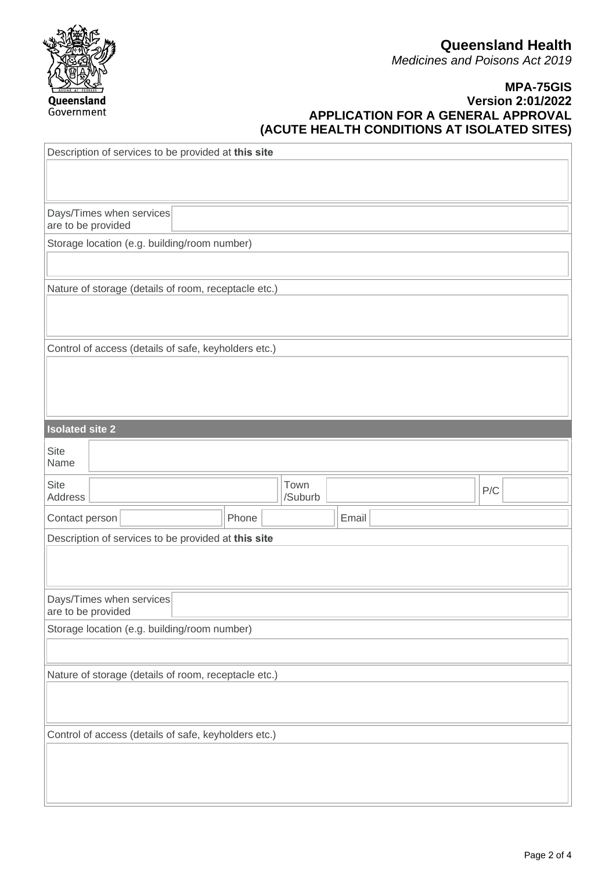#### **MPA-75GIS Version 2:01/2022 APPLICATION FOR A GENERAL APPROVAL (ACUTE HEALTH CONDITIONS AT ISOLATED SITES)**

| Description of services to be provided at this site  |  |  |  |  |       |  |                 |       |     |  |
|------------------------------------------------------|--|--|--|--|-------|--|-----------------|-------|-----|--|
| Days/Times when services<br>are to be provided       |  |  |  |  |       |  |                 |       |     |  |
| Storage location (e.g. building/room number)         |  |  |  |  |       |  |                 |       |     |  |
|                                                      |  |  |  |  |       |  |                 |       |     |  |
| Nature of storage (details of room, receptacle etc.) |  |  |  |  |       |  |                 |       |     |  |
| Control of access (details of safe, keyholders etc.) |  |  |  |  |       |  |                 |       |     |  |
| <b>Isolated site 2</b>                               |  |  |  |  |       |  |                 |       |     |  |
| <b>Site</b><br>Name                                  |  |  |  |  |       |  |                 |       |     |  |
| <b>Site</b><br>Address                               |  |  |  |  |       |  | Town<br>/Suburb |       | P/C |  |
| Contact person                                       |  |  |  |  | Phone |  |                 | Email |     |  |
| Description of services to be provided at this site  |  |  |  |  |       |  |                 |       |     |  |
| Days/Times when services<br>are to be provided       |  |  |  |  |       |  |                 |       |     |  |
| Storage location (e.g. building/room number)         |  |  |  |  |       |  |                 |       |     |  |
| Nature of storage (details of room, receptacle etc.) |  |  |  |  |       |  |                 |       |     |  |
| Control of access (details of safe, keyholders etc.) |  |  |  |  |       |  |                 |       |     |  |
|                                                      |  |  |  |  |       |  |                 |       |     |  |

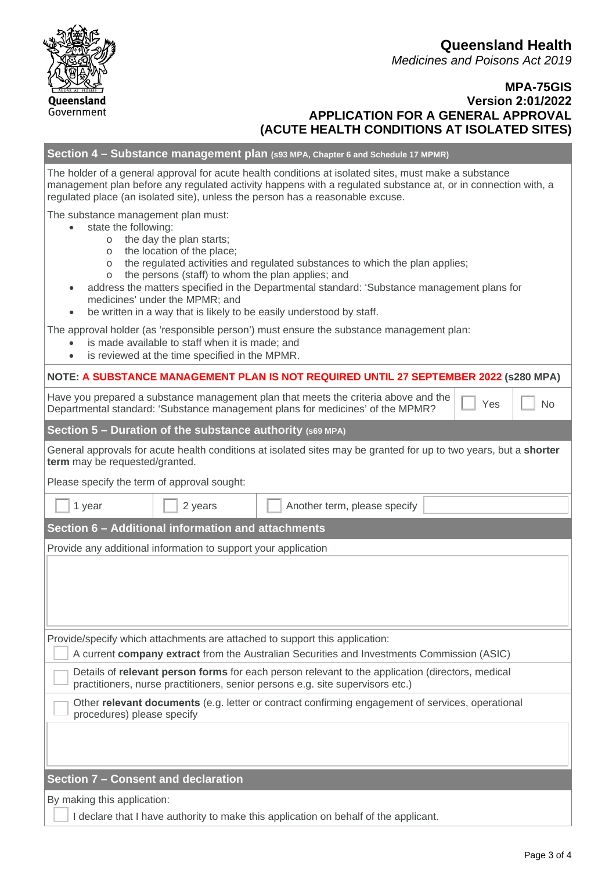#### **MPA-75GIS Version 2:01/2022 APPLICATION FOR A GENERAL APPROVAL (ACUTE HEALTH CONDITIONS AT ISOLATED SITES)**

#### **Section 4 – Substance management plan (s93 MPA, Chapter 6 and Schedule 17 MPMR)**

The holder of a general approval for acute health conditions at isolated sites, must make a substance management plan before any regulated activity happens with a regulated substance at, or in connection with, a regulated place (an isolated site), unless the person has a reasonable excuse.

The substance management plan must:

- state the following:
	- o the day the plan starts;
	- o the location of the place;
	- o the regulated activities and regulated substances to which the plan applies;
	- o the persons (staff) to whom the plan applies; and
- address the matters specified in the Departmental standard: 'Substance management plans for medicines' under the MPMR; and
- be written in a way that is likely to be easily understood by staff.

The approval holder (as 'responsible person') must ensure the substance management plan:

- is made available to staff when it is made; and
- is reviewed at the time specified in the MPMR.

| NOTE: A SUBSTANCE MANAGEMENT PLAN IS NOT REQUIRED UNTIL 27 SEPTEMBER 2022 (\$280 MPA) |  |
|---------------------------------------------------------------------------------------|--|
|---------------------------------------------------------------------------------------|--|

Have you prepared a substance management plan that meets the criteria above and the Departmental standard: 'Substance management plan that friends the enteria above and the  $\Box$  Yes  $\Box$  No

**Section 5 – Duration of the substance authority (s69 MPA)**

General approvals for acute health conditions at isolated sites may be granted for up to two years, but a **shorter term** may be requested/granted.

Please specify the term of approval sought:

| 1 year                                                         | 2 years | Another term, please specify                                                                                                                                                       |  |  |  |  |  |
|----------------------------------------------------------------|---------|------------------------------------------------------------------------------------------------------------------------------------------------------------------------------------|--|--|--|--|--|
| Section 6 - Additional information and attachments             |         |                                                                                                                                                                                    |  |  |  |  |  |
| Provide any additional information to support your application |         |                                                                                                                                                                                    |  |  |  |  |  |
|                                                                |         |                                                                                                                                                                                    |  |  |  |  |  |
|                                                                |         |                                                                                                                                                                                    |  |  |  |  |  |
|                                                                |         |                                                                                                                                                                                    |  |  |  |  |  |
|                                                                |         |                                                                                                                                                                                    |  |  |  |  |  |
|                                                                |         | Provide/specify which attachments are attached to support this application:                                                                                                        |  |  |  |  |  |
|                                                                |         | A current <b>company extract</b> from the Australian Securities and Investments Commission (ASIC)                                                                                  |  |  |  |  |  |
|                                                                |         | Details of relevant person forms for each person relevant to the application (directors, medical<br>practitioners, nurse practitioners, senior persons e.g. site supervisors etc.) |  |  |  |  |  |
| procedures) please specify                                     |         | Other relevant documents (e.g. letter or contract confirming engagement of services, operational                                                                                   |  |  |  |  |  |
|                                                                |         |                                                                                                                                                                                    |  |  |  |  |  |
|                                                                |         |                                                                                                                                                                                    |  |  |  |  |  |
| Section 7 – Consent and declaration                            |         |                                                                                                                                                                                    |  |  |  |  |  |

By making this application:

I declare that I have authority to make this application on behalf of the applicant.